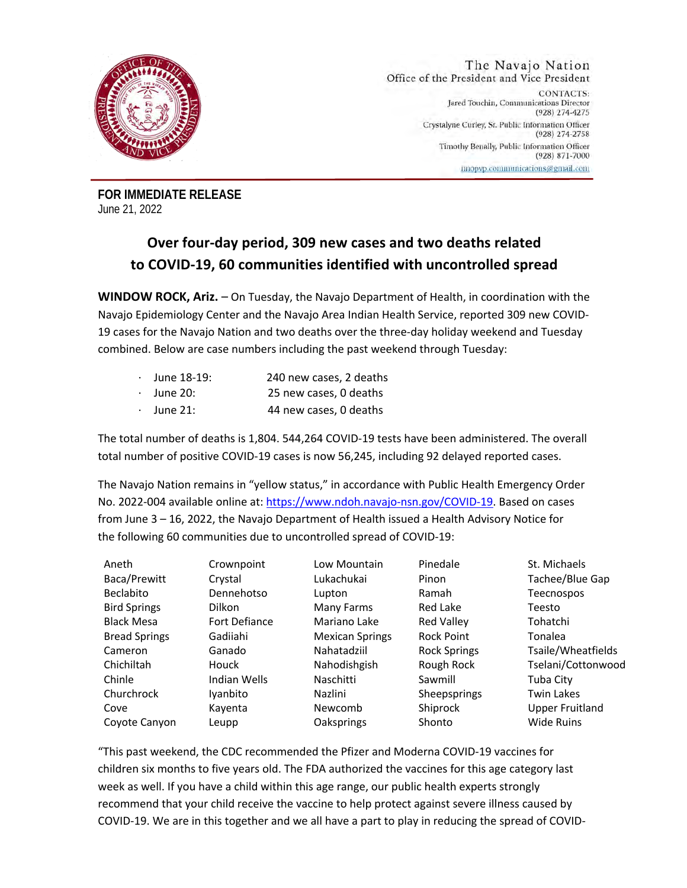

The Navajo Nation Office of the President and Vice President CONTACTS: Jared Touchin, Communications Director (928) 274-4275 Crystalyne Curley, Sr. Public Information Officer  $(928)$  274-2758 Timothy Benally, Public Information Officer (928) 871-7000 nnopyp.communications@gmail.com

**FOR IMMEDIATE RELEASE**  June 21, 2022

## **Over four-day period, 309 new cases and two deaths related to COVID-19, 60 communities identified with uncontrolled spread**

**WINDOW ROCK, Ariz.** – On Tuesday, the Navajo Department of Health, in coordination with the Navajo Epidemiology Center and the Navajo Area Indian Health Service, reported 309 new COVID-19 cases for the Navajo Nation and two deaths over the three-day holiday weekend and Tuesday combined. Below are case numbers including the past weekend through Tuesday:

| $\sim$ | June 18-19: | 240 new cases, 2 deaths |
|--------|-------------|-------------------------|
|        | June 20:    | 25 new cases, 0 deaths  |
|        | June $21$ : | 44 new cases, 0 deaths  |

The total number of deaths is 1,804. 544,264 COVID-19 tests have been administered. The overall total number of positive COVID-19 cases is now 56,245, including 92 delayed reported cases.

The Navajo Nation remains in "yellow status," in accordance with Public Health Emergency Order No. 2022-004 available online at: https://www.ndoh.navajo-nsn.gov/COVID-19. Based on cases from June 3 – 16, 2022, the Navajo Department of Health issued a Health Advisory Notice for the following 60 communities due to uncontrolled spread of COVID-19:

| Aneth                | Crownpoint    | l ow Mountain          | Pinedale            | St. Michaels           |
|----------------------|---------------|------------------------|---------------------|------------------------|
| Baca/Prewitt         | Crystal       | Lukachukai             | Pinon               | Tachee/Blue Gap        |
| <b>Beclabito</b>     | Dennehotso    | Lupton                 | Ramah               | Teecnospos             |
| <b>Bird Springs</b>  | Dilkon        | Many Farms             | Red Lake            | Teesto                 |
| <b>Black Mesa</b>    | Fort Defiance | Mariano Lake           | <b>Red Valley</b>   | Tohatchi               |
| <b>Bread Springs</b> | Gadiiahi      | <b>Mexican Springs</b> | <b>Rock Point</b>   | Tonalea                |
| Cameron              | Ganado        | Nahatadziil            | <b>Rock Springs</b> | Tsaile/Wheatfields     |
| Chichiltah           | <b>Houck</b>  | Nahodishgish           | Rough Rock          | Tselani/Cottonwood     |
| Chinle               | Indian Wells  | Naschitti              | Sawmill             | Tuba City              |
| Churchrock           | Iyanbito      | Nazlini                | Sheepsprings        | <b>Twin Lakes</b>      |
| Cove                 | Kayenta       | Newcomb                | Shiprock            | <b>Upper Fruitland</b> |
| Covote Canyon        | Leupp         | Oaksprings             | Shonto              | <b>Wide Ruins</b>      |

"This past weekend, the CDC recommended the Pfizer and Moderna COVID-19 vaccines for children six months to five years old. The FDA authorized the vaccines for this age category last week as well. If you have a child within this age range, our public health experts strongly recommend that your child receive the vaccine to help protect against severe illness caused by COVID-19. We are in this together and we all have a part to play in reducing the spread of COVID-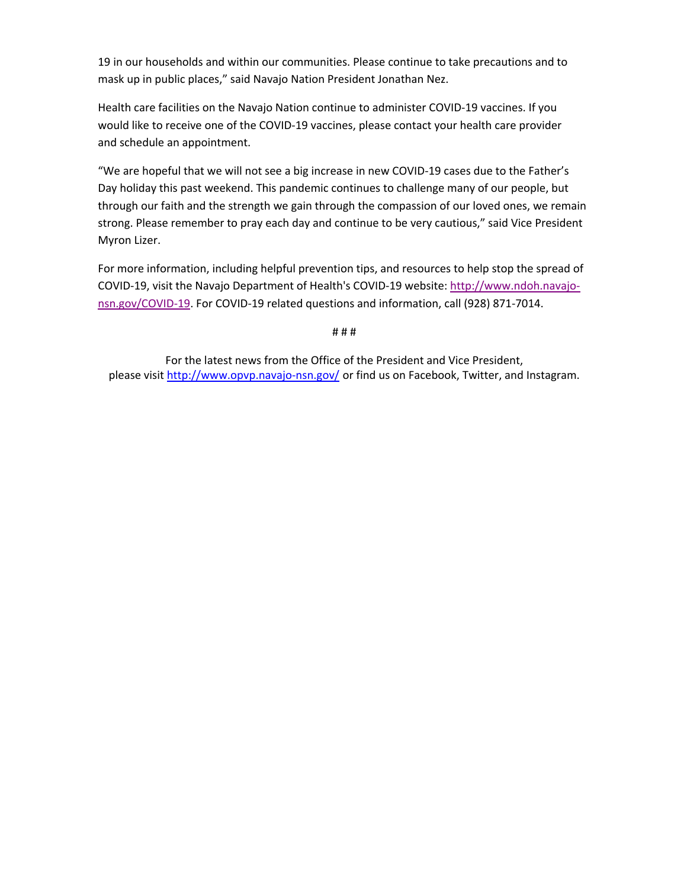19 in our households and within our communities. Please continue to take precautions and to mask up in public places," said Navajo Nation President Jonathan Nez.

Health care facilities on the Navajo Nation continue to administer COVID-19 vaccines. If you would like to receive one of the COVID-19 vaccines, please contact your health care provider and schedule an appointment.

"We are hopeful that we will not see a big increase in new COVID-19 cases due to the Father's Day holiday this past weekend. This pandemic continues to challenge many of our people, but through our faith and the strength we gain through the compassion of our loved ones, we remain strong. Please remember to pray each day and continue to be very cautious," said Vice President Myron Lizer.

For more information, including helpful prevention tips, and resources to help stop the spread of COVID-19, visit the Navajo Department of Health's COVID-19 website: http://www.ndoh.navajonsn.gov/COVID-19. For COVID-19 related questions and information, call (928) 871-7014.

# # #

For the latest news from the Office of the President and Vice President, please visit http://www.opvp.navajo-nsn.gov/ or find us on Facebook, Twitter, and Instagram.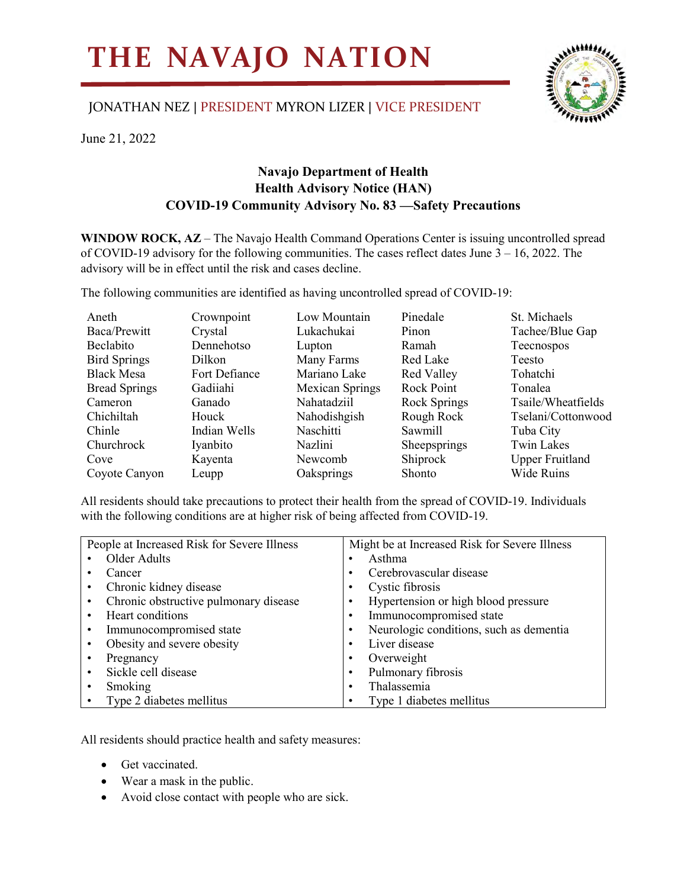## **THE NAVAJO NATION**

## JONATHAN NEZ | PRESIDENT MYRON LIZER | VICE PRESIDENT



June 21, 2022

## **Navajo Department of Health Health Advisory Notice (HAN) COVID-19 Community Advisory No. 83 —Safety Precautions**

**WINDOW ROCK, AZ** – The Navajo Health Command Operations Center is issuing uncontrolled spread of COVID-19 advisory for the following communities. The cases reflect dates June 3 – 16, 2022. The advisory will be in effect until the risk and cases decline.

The following communities are identified as having uncontrolled spread of COVID-19:

| Aneth                | Crownpoint    | Low Mountain           | Pinedale          | St. Michaels           |
|----------------------|---------------|------------------------|-------------------|------------------------|
| Baca/Prewitt         | Crystal       | Lukachukai             | Pinon             | Tachee/Blue Gap        |
| Beclabito            | Dennehotso    | Lupton                 | Ramah             | Teecnospos             |
| <b>Bird Springs</b>  | Dilkon        | Many Farms             | Red Lake          | Teesto                 |
| <b>Black Mesa</b>    | Fort Defiance | Mariano Lake           | <b>Red Valley</b> | Tohatchi               |
| <b>Bread Springs</b> | Gadiiahi      | <b>Mexican Springs</b> | <b>Rock Point</b> | Tonalea                |
| Cameron              | Ganado        | Nahatadziil            | Rock Springs      | Tsaile/Wheatfields     |
| Chichiltah           | Houck         | Nahodishgish           | Rough Rock        | Tselani/Cottonwood     |
| Chinle               | Indian Wells  | Naschitti              | Sawmill           | Tuba City              |
| Churchrock           | Iyanbito      | Nazlini                | Sheepsprings      | <b>Twin Lakes</b>      |
| Cove                 | Kayenta       | Newcomb                | Shiprock          | <b>Upper Fruitland</b> |
| Coyote Canyon        | Leupp         | Oaksprings             | Shonto            | <b>Wide Ruins</b>      |

All residents should take precautions to protect their health from the spread of COVID-19. Individuals with the following conditions are at higher risk of being affected from COVID-19.

| People at Increased Risk for Severe Illness |                                       | Might be at Increased Risk for Severe Illness |                                         |  |
|---------------------------------------------|---------------------------------------|-----------------------------------------------|-----------------------------------------|--|
|                                             | Older Adults                          |                                               | Asthma                                  |  |
|                                             | Cancer                                | ٠                                             | Cerebrovascular disease                 |  |
|                                             | Chronic kidney disease                |                                               | Cystic fibrosis                         |  |
|                                             | Chronic obstructive pulmonary disease | ٠                                             | Hypertension or high blood pressure     |  |
|                                             | Heart conditions                      |                                               | Immunocompromised state                 |  |
|                                             | Immunocompromised state               | $\bullet$                                     | Neurologic conditions, such as dementia |  |
|                                             | Obesity and severe obesity            | ٠                                             | Liver disease                           |  |
|                                             | Pregnancy                             | ٠                                             | Overweight                              |  |
|                                             | Sickle cell disease                   | $\bullet$                                     | Pulmonary fibrosis                      |  |
|                                             | Smoking                               | $\bullet$                                     | Thalassemia                             |  |
|                                             | Type 2 diabetes mellitus              |                                               | Type 1 diabetes mellitus                |  |

All residents should practice health and safety measures:

- Get vaccinated.
- Wear a mask in the public.
- Avoid close contact with people who are sick.